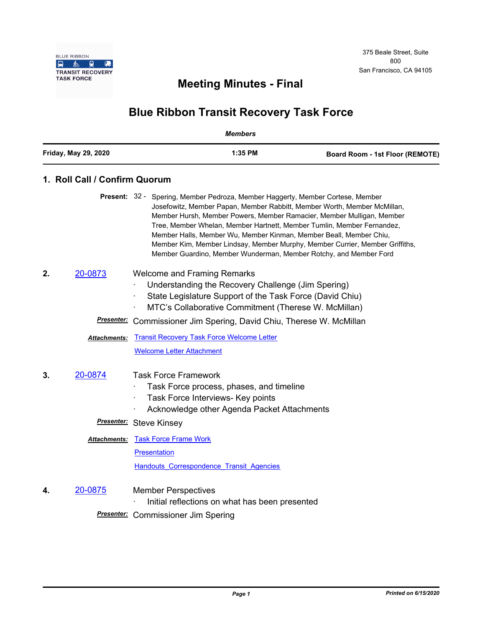

## **Meeting Minutes - Final**

## **Blue Ribbon Transit Recovery Task Force**

| <b>Members</b>              |                               |                                                                                                                                                                                                                                                                                                                                                                                                                                                                                                                                          |                                 |
|-----------------------------|-------------------------------|------------------------------------------------------------------------------------------------------------------------------------------------------------------------------------------------------------------------------------------------------------------------------------------------------------------------------------------------------------------------------------------------------------------------------------------------------------------------------------------------------------------------------------------|---------------------------------|
| <b>Friday, May 29, 2020</b> |                               | 1:35 PM                                                                                                                                                                                                                                                                                                                                                                                                                                                                                                                                  | Board Room - 1st Floor (REMOTE) |
|                             | 1. Roll Call / Confirm Quorum |                                                                                                                                                                                                                                                                                                                                                                                                                                                                                                                                          |                                 |
|                             |                               | Present: 32 - Spering, Member Pedroza, Member Haggerty, Member Cortese, Member<br>Josefowitz, Member Papan, Member Rabbitt, Member Worth, Member McMillan,<br>Member Hursh, Member Powers, Member Ramacier, Member Mulligan, Member<br>Tree, Member Whelan, Member Hartnett, Member Tumlin, Member Fernandez,<br>Member Halls, Member Wu, Member Kinman, Member Beall, Member Chiu,<br>Member Kim, Member Lindsay, Member Murphy, Member Currier, Member Griffiths,<br>Member Guardino, Member Wunderman, Member Rotchy, and Member Ford |                                 |
| 2.                          | 20-0873                       | <b>Welcome and Framing Remarks</b><br>Understanding the Recovery Challenge (Jim Spering)<br>State Legislature Support of the Task Force (David Chiu)<br>MTC's Collaborative Commitment (Therese W. McMillan)                                                                                                                                                                                                                                                                                                                             |                                 |
|                             |                               | Presenter: Commissioner Jim Spering, David Chiu, Therese W. McMillan                                                                                                                                                                                                                                                                                                                                                                                                                                                                     |                                 |
|                             | <b>Attachments:</b>           | <b>Transit Recovery Task Force Welcome Letter</b>                                                                                                                                                                                                                                                                                                                                                                                                                                                                                        |                                 |
|                             |                               | <b>Welcome Letter Attachment</b>                                                                                                                                                                                                                                                                                                                                                                                                                                                                                                         |                                 |
| 3.                          | 20-0874                       | <b>Task Force Framework</b><br>Task Force process, phases, and timeline<br>Task Force Interviews- Key points<br>Acknowledge other Agenda Packet Attachments                                                                                                                                                                                                                                                                                                                                                                              |                                 |
|                             |                               | <b>Presenter:</b> Steve Kinsey                                                                                                                                                                                                                                                                                                                                                                                                                                                                                                           |                                 |
|                             | <u>Attachments:</u>           | <b>Task Force Frame Work</b><br><b>Presentation</b><br>Handouts Correspondence Transit Agencies                                                                                                                                                                                                                                                                                                                                                                                                                                          |                                 |
| 4.                          | 20-0875                       | <b>Member Perspectives</b><br>Initial reflections on what has been presented                                                                                                                                                                                                                                                                                                                                                                                                                                                             |                                 |
|                             |                               | <b>Presenter:</b> Commissioner Jim Spering                                                                                                                                                                                                                                                                                                                                                                                                                                                                                               |                                 |